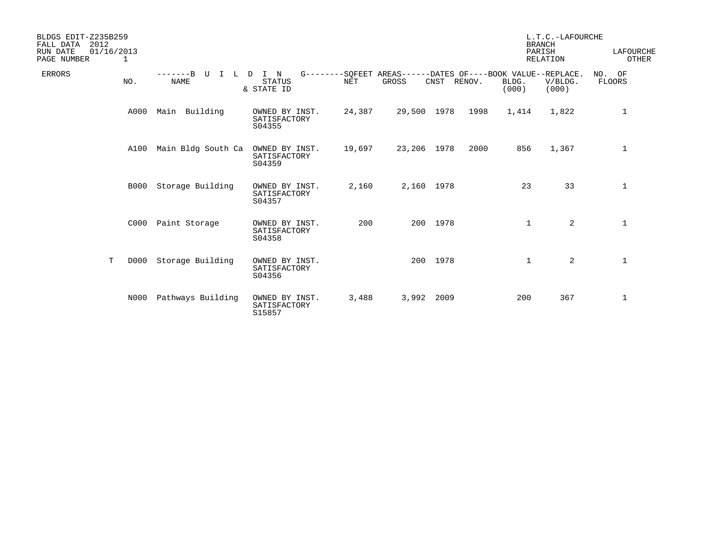| BLDGS EDIT-Z235B259<br>FALL DATA<br>2012<br>RUN DATE<br>01/16/2013<br>PAGE NUMBER | 1           |                                        |                                                  |            |                                                                      |          |        |                | L.T.C.-LAFOURCHE<br><b>BRANCH</b><br>PARISH<br><b>RELATION</b> | LAFOURCHE<br>OTHER |
|-----------------------------------------------------------------------------------|-------------|----------------------------------------|--------------------------------------------------|------------|----------------------------------------------------------------------|----------|--------|----------------|----------------------------------------------------------------|--------------------|
| <b>ERRORS</b>                                                                     | NO.         | $-----B$<br>τT<br>$\Box$<br>т.<br>NAME | $\mathbb N$<br>I.<br><b>STATUS</b><br>& STATE ID | <b>NET</b> | G--------SQFEET AREAS------DATES OF----BOOK VALUE--REPLACE.<br>GROSS | CNST     | RENOV. | BLDG.<br>(000) | V/BLDG.<br>(000)                                               | NO. OF<br>FLOORS   |
|                                                                                   | A000        | Main Building                          | OWNED BY INST.<br>SATISFACTORY<br>S04355         | 24,387     | 29,500 1978                                                          |          | 1998   | 1,414          | 1,822                                                          | 1                  |
|                                                                                   | A100        | Main Bldg South Ca                     | OWNED BY INST.<br>SATISFACTORY<br>S04359         | 19,697     | 23,206 1978                                                          |          | 2000   | 856            | 1,367                                                          | 1                  |
|                                                                                   | <b>B000</b> | Storage Building                       | OWNED BY INST.<br>SATISFACTORY<br>S04357         | 2,160      | 2,160 1978                                                           |          |        | 23             | 33                                                             | $\mathbf 1$        |
|                                                                                   | C000        | Paint Storage                          | OWNED BY INST.<br>SATISFACTORY<br>S04358         | 200        |                                                                      | 200 1978 |        | $\mathbf{1}$   | $\overline{2}$                                                 | $\mathbf{1}$       |
| T                                                                                 | D000        | Storage Building                       | OWNED BY INST.<br>SATISFACTORY<br>S04356         |            |                                                                      | 200 1978 |        | 1              | 2                                                              | $\mathbf 1$        |
|                                                                                   | N000        | Pathways Building                      | OWNED BY INST.<br>SATISFACTORY<br>S15857         | 3,488      | 3,992 2009                                                           |          |        | 200            | 367                                                            | $\mathbf 1$        |